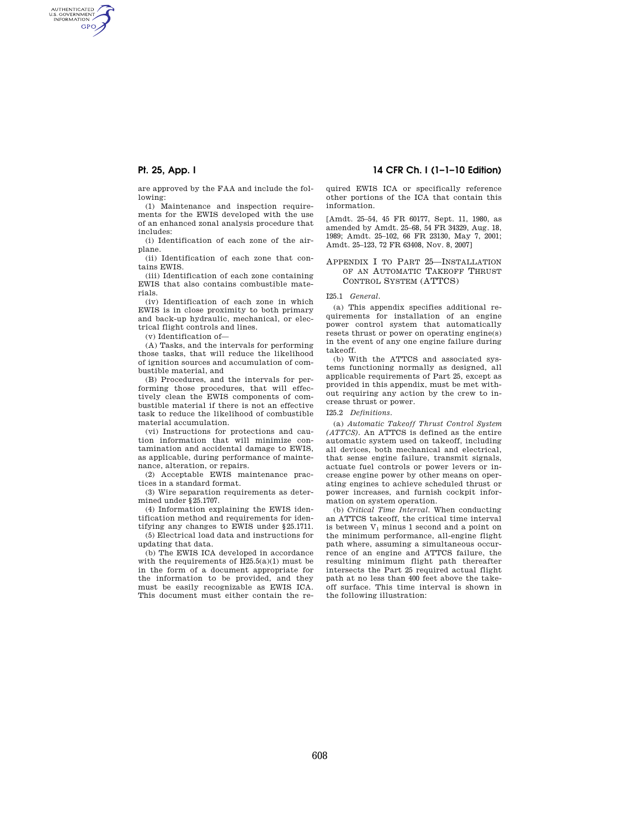AUTHENTICATED<br>U.S. GOVERNMENT<br>INFORMATION **GPO** 

**Pt. 25, App. I 14 CFR Ch. I (1–1–10 Edition)** 

are approved by the FAA and include the following:

(1) Maintenance and inspection requirements for the EWIS developed with the use of an enhanced zonal analysis procedure that includes:

(i) Identification of each zone of the airplane.

(ii) Identification of each zone that contains EWIS.

(iii) Identification of each zone containing EWIS that also contains combustible materials.

(iv) Identification of each zone in which EWIS is in close proximity to both primary and back-up hydraulic, mechanical, or electrical flight controls and lines.

(v) Identification of—

(A) Tasks, and the intervals for performing those tasks, that will reduce the likelihood of ignition sources and accumulation of combustible material, and

(B) Procedures, and the intervals for performing those procedures, that will effectively clean the EWIS components of combustible material if there is not an effective task to reduce the likelihood of combustible material accumulation.

(vi) Instructions for protections and caution information that will minimize contamination and accidental damage to EWIS, as applicable, during performance of maintenance, alteration, or repairs.

(2) Acceptable EWIS maintenance practices in a standard format.

(3) Wire separation requirements as determined under §25.1707.

(4) Information explaining the EWIS identification method and requirements for identifying any changes to EWIS under §25.1711.

(5) Electrical load data and instructions for updating that data.

(b) The EWIS ICA developed in accordance with the requirements of  $H25.5(a)(1)$  must be in the form of a document appropriate for the information to be provided, and they must be easily recognizable as EWIS ICA. This document must either contain the required EWIS ICA or specifically reference other portions of the ICA that contain this information.

[Amdt. 25–54, 45 FR 60177, Sept. 11, 1980, as amended by Amdt. 25–68, 54 FR 34329, Aug. 18, 1989; Amdt. 25–102, 66 FR 23130, May 7, 2001; Amdt. 25–123, 72 FR 63408, Nov. 8, 2007]

### APPENDIX I TO PART 25—INSTALLATION OF AN AUTOMATIC TAKEOFF THRUST CONTROL SYSTEM (ATTCS)

### I25.1 *General.*

(a) This appendix specifies additional requirements for installation of an engine power control system that automatically resets thrust or power on operating engine(s) in the event of any one engine failure during takeoff.

(b) With the ATTCS and associated systems functioning normally as designed, all applicable requirements of Part 25, except as provided in this appendix, must be met without requiring any action by the crew to increase thrust or power.

I25.2 *Definitions.* 

(a) *Automatic Takeoff Thrust Control System (ATTCS).* An ATTCS is defined as the entire automatic system used on takeoff, including all devices, both mechanical and electrical, that sense engine failure, transmit signals, actuate fuel controls or power levers or increase engine power by other means on operating engines to achieve scheduled thrust or power increases, and furnish cockpit information on system operation.

(b) *Critical Time Interval.* When conducting an ATTCS takeoff, the critical time interval is between  $V_1$  minus 1 second and a point on the minimum performance, all-engine flight path where, assuming a simultaneous occurrence of an engine and ATTCS failure, the resulting minimum flight path thereafter intersects the Part 25 required actual flight path at no less than 400 feet above the takeoff surface. This time interval is shown in the following illustration: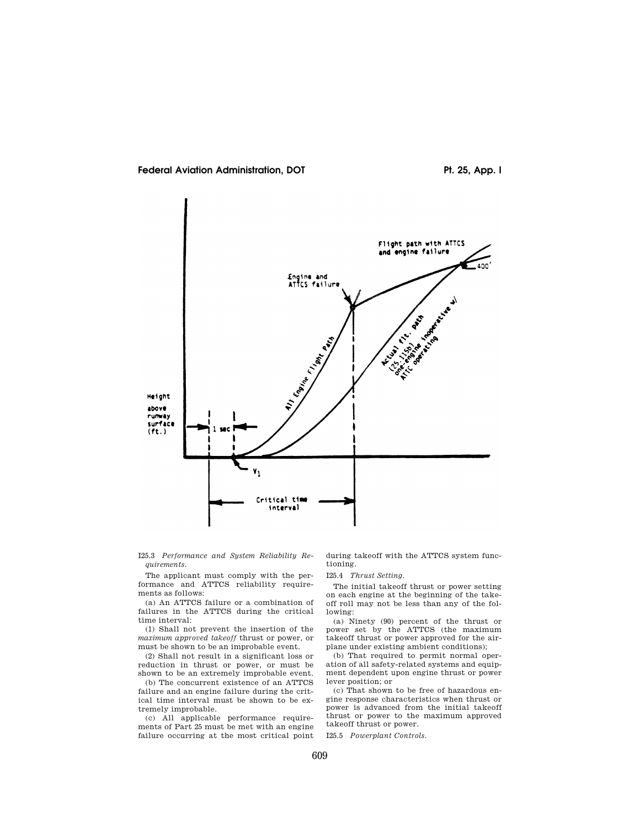



I25.3 *Performance and System Reliability Requirements.* 

The applicant must comply with the performance and ATTCS reliability requirements as follows:

(a) An ATTCS failure or a combination of failures in the ATTCS during the critical time interval:

(1) Shall not prevent the insertion of the *maximum approved takeoff* thrust or power, or must be shown to be an improbable event.

(2) Shall not result in a significant loss or reduction in thrust or power, or must be shown to be an extremely improbable event.

(b) The concurrent existence of an ATTCS failure and an engine failure during the critical time interval must be shown to be extremely improbable.

(c) All applicable performance requirements of Part 25 must be met with an engine failure occurring at the most critical point

during takeoff with the ATTCS system functioning.

# I25.4 *Thrust Setting.*

The initial takeoff thrust or power setting on each engine at the beginning of the takeoff roll may not be less than any of the following:

(a) Ninety (90) percent of the thrust or power set by the ATTCS (the maximum takeoff thrust or power approved for the airplane under existing ambient conditions);

(b) That required to permit normal operation of all safety-related systems and equipment dependent upon engine thrust or power lever position; or

(c) That shown to be free of hazardous engine response characteristics when thrust or power is advanced from the initial takeoff thrust or power to the maximum approved takeoff thrust or power.

I25.5 *Powerplant Controls.*